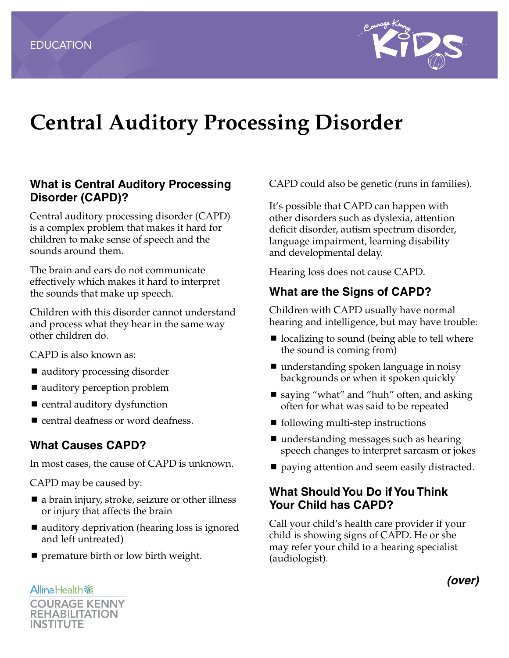

# **Central Auditory Processing Disorder**

## **What is Central Auditory Processing Disorder (CAPD)?**

Central auditory processing disorder (CAPD) is a complex problem that makes it hard for children to make sense of speech and the sounds around them.

The brain and ears do not communicate effectively which makes it hard to interpret the sounds that make up speech.

Children with this disorder cannot understand and process what they hear in the same way other children do.

CAPD is also known as:

- auditory processing disorder
- auditory perception problem
- central auditory dysfunction
- central deafness or word deafness.

#### **What Causes CAPD?**

In most cases, the cause of CAPD is unknown.

CAPD may be caused by:

- a brain injury, stroke, seizure or other illness or injury that affects the brain
- auditory deprivation (hearing loss is ignored and left untreated)
- **P** premature birth or low birth weight.

**Allina Health 旅** 

CAPD could also be genetic (runs in families).

It's possible that CAPD can happen with other disorders such as dyslexia, attention deficit disorder, autism spectrum disorder, language impairment, learning disability and developmental delay.

Hearing loss does not cause CAPD.

## **What are the Signs of CAPD?**

Children with CAPD usually have normal hearing and intelligence, but may have trouble:

- localizing to sound (being able to tell where the sound is coming from)
- understanding spoken language in noisy backgrounds or when it spoken quickly
- saying "what" and "huh" often, and asking often for what was said to be repeated
- $\blacksquare$  following multi-step instructions
- understanding messages such as hearing speech changes to interpret sarcasm or jokes
- **paying attention and seem easily distracted.**

## **What Should You Do if You Think Your Child has CAPD?**

Call your child's health care provider if your child is showing signs of CAPD. He or she may refer your child to a hearing specialist (audiologist).

**COURAGE KENNY REHABILITATION** INSTITUTE

*(over)*